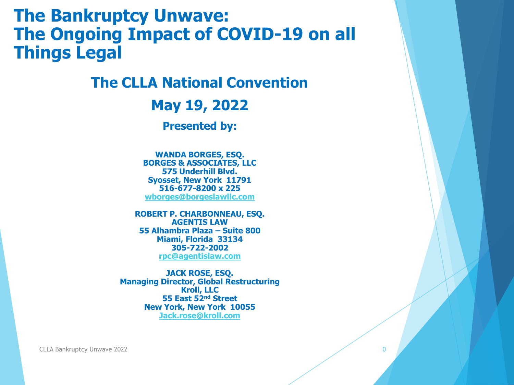#### **The Bankruptcy Unwave: The Ongoing Impact of COVID-19 on all Things Legal**

#### **The CLLA National Convention**

**May 19, 2022**

**Presented by:**

**WANDA BORGES, ESQ. BORGES & ASSOCIATES, LLC 575 Underhill Blvd. Syosset, New York 11791 516-677-8200 x 225 [wborges@borgeslawllc.com](mailto:wborges@borgeslawllc.com)**

**ROBERT P. CHARBONNEAU, ESQ. AGENTIS LAW 55 Alhambra Plaza – Suite 800 Miami, Florida 33134 305-722-2002 [rpc@agentislaw.com](mailto:rpc@agentislaw.com)**

**JACK ROSE, ESQ. Managing Director, Global Restructuring Kroll, LLC 55 East 52nd Street New York, New York 10055 [Jack.rose@kroll.com](mailto:Jack.rose@kroll.com)**

CLLA Bankruptcy Unwave 2022 0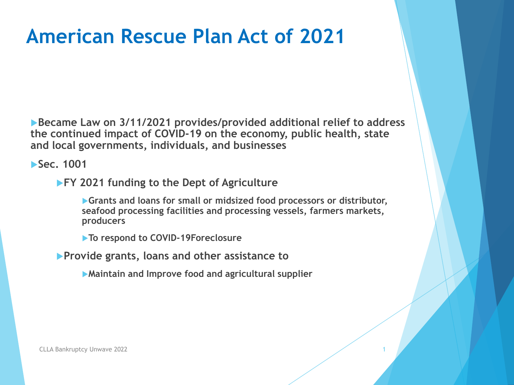**Became Law on 3/11/2021 provides/provided additional relief to address the continued impact of COVID-19 on the economy, public health, state and local governments, individuals, and businesses**

**Sec. 1001** 

**FY 2021 funding to the Dept of Agriculture**

**Grants and loans for small or midsized food processors or distributor, seafood processing facilities and processing vessels, farmers markets, producers** 

**To respond to COVID-19Foreclosure**

**Provide grants, loans and other assistance to**

**Maintain and Improve food and agricultural supplier**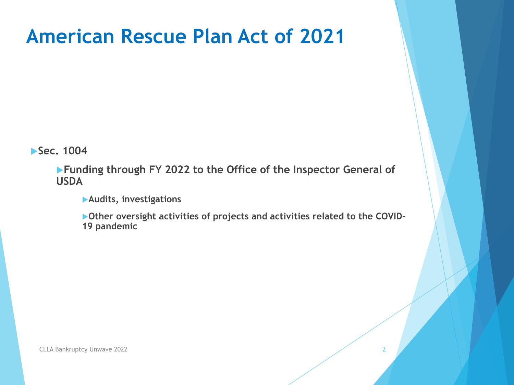**Sec. 1004** 

**Funding through FY 2022 to the Office of the Inspector General of USDA**

**Audits, investigations**

**Other oversight activities of projects and activities related to the COVID-19 pandemic**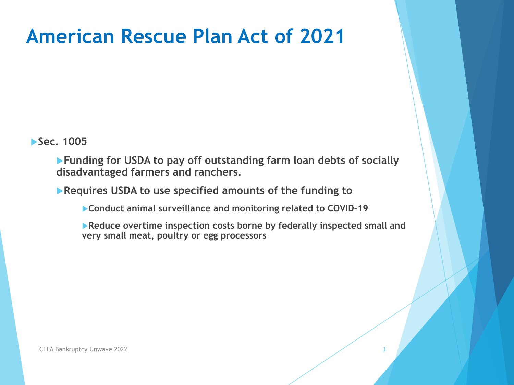**Sec. 1005** 

**Funding for USDA to pay off outstanding farm loan debts of socially disadvantaged farmers and ranchers.**

**Requires USDA to use specified amounts of the funding to**

**Conduct animal surveillance and monitoring related to COVID-19**

**Reduce overtime inspection costs borne by federally inspected small and very small meat, poultry or egg processors**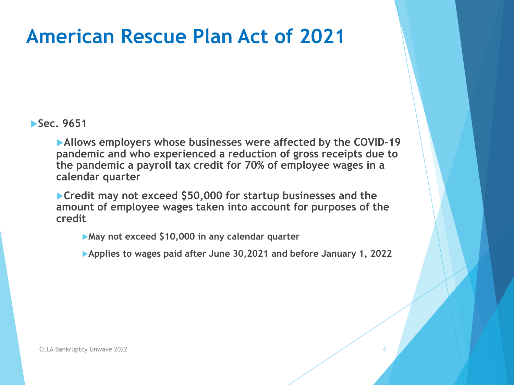**Sec. 9651** 

**Allows employers whose businesses were affected by the COVID-19 pandemic and who experienced a reduction of gross receipts due to the pandemic a payroll tax credit for 70% of employee wages in a calendar quarter**

**Credit may not exceed \$50,000 for startup businesses and the amount of employee wages taken into account for purposes of the credit**

**May not exceed \$10,000 in any calendar quarter**

**Applies to wages paid after June 30,2021 and before January 1, 2022**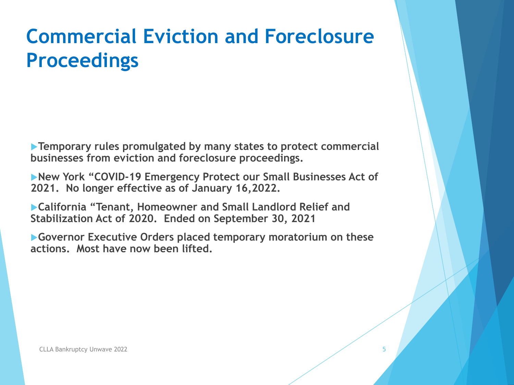# **Commercial Eviction and Foreclosure Proceedings**

**Temporary rules promulgated by many states to protect commercial businesses from eviction and foreclosure proceedings.** 

**New York "COVID-19 Emergency Protect our Small Businesses Act of 2021. No longer effective as of January 16,2022.**

**California "Tenant, Homeowner and Small Landlord Relief and Stabilization Act of 2020. Ended on September 30, 2021**

**Governor Executive Orders placed temporary moratorium on these actions. Most have now been lifted.**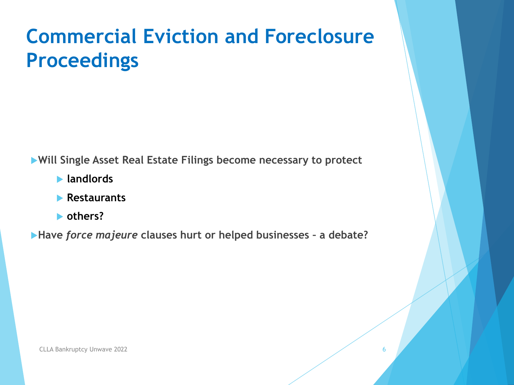# **Commercial Eviction and Foreclosure Proceedings**

**Will Single Asset Real Estate Filings become necessary to protect**

- **landlords**
- **Restaurants**
- **others?**

**Have** *force majeure* **clauses hurt or helped businesses – a debate?**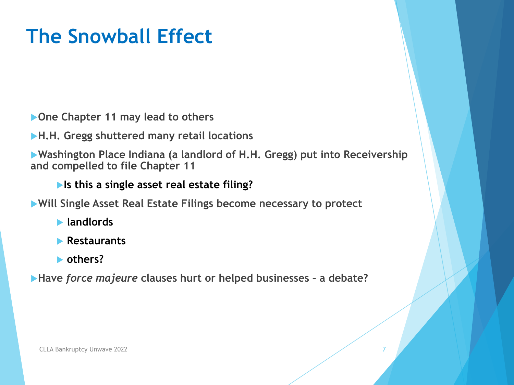# **The Snowball Effect**

**One Chapter 11 may lead to others**

**H.H. Gregg shuttered many retail locations**

**Washington Place Indiana (a landlord of H.H. Gregg) put into Receivership and compelled to file Chapter 11**

**Is this a single asset real estate filing?**

**Will Single Asset Real Estate Filings become necessary to protect**

- **landlords**
- **Restaurants**
- **others?**

**Have** *force majeure* **clauses hurt or helped businesses – a debate?**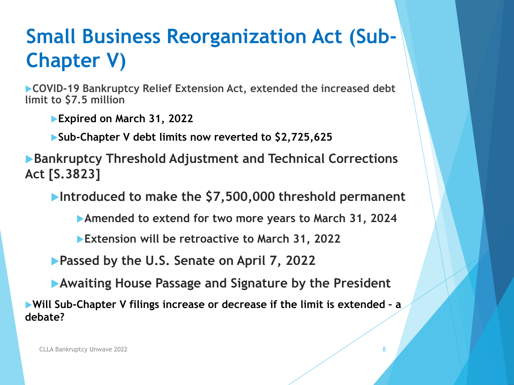# **Small Business Reorganization Act (Sub-Chapter V)**

**COVID-19 Bankruptcy Relief Extension Act, extended the increased debt limit to \$7.5 million**

**Expired on March 31, 2022**

**Sub-Chapter V debt limits now reverted to \$2,725,625**

**Bankruptcy Threshold Adjustment and Technical Corrections Act [S.3823]**

**Introduced to make the \$7,500,000 threshold permanent**

**Amended to extend for two more years to March 31, 2024**

**Extension will be retroactive to March 31, 2022**

**Passed by the U.S. Senate on April 7, 2022**

**Awaiting House Passage and Signature by the President**

**Will Sub-Chapter V filings increase or decrease if the limit is extended – a debate?**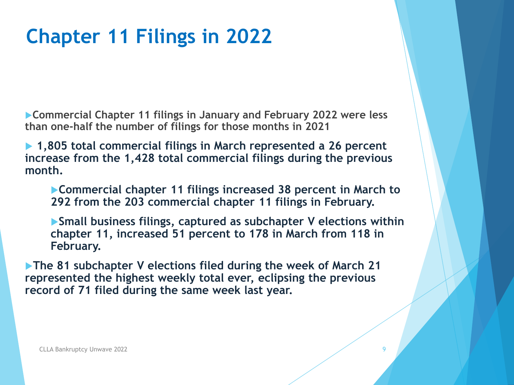# **Chapter 11 Filings in 2022**

**Commercial Chapter 11 filings in January and February 2022 were less than one-half the number of filings for those months in 2021**

▶ 1,805 total commercial filings in March represented a 26 percent **increase from the 1,428 total commercial filings during the previous month.** 

**Commercial chapter 11 filings increased 38 percent in March to 292 from the 203 commercial chapter 11 filings in February.** 

**Small business filings, captured as subchapter V elections within chapter 11, increased 51 percent to 178 in March from 118 in February.**

**The 81 subchapter V elections filed during the week of March 21 represented the highest weekly total ever, eclipsing the previous record of 71 filed during the same week last year.**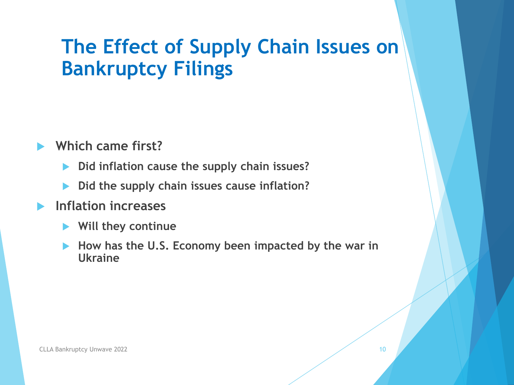## **The Effect of Supply Chain Issues on Bankruptcy Filings**

- **Which came first?**
	- **Did inflation cause the supply chain issues?**
	- **Did the supply chain issues cause inflation?**
- **Inflation increases**
	- **Will they continue**
	- **How has the U.S. Economy been impacted by the war in Ukraine**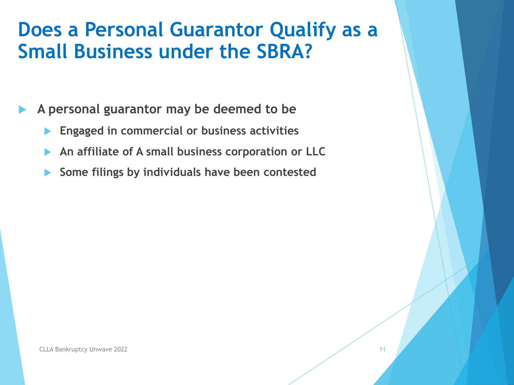#### **Does a Personal Guarantor Qualify as a Small Business under the SBRA?**

**A personal guarantor may be deemed to be**

- **Engaged in commercial or business activities**
- **An affiliate of A small business corporation or LLC**
- **Some filings by individuals have been contested**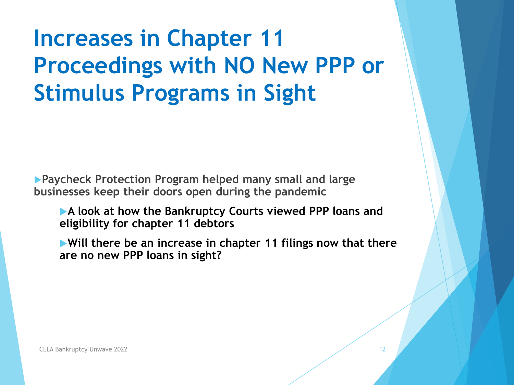# **Increases in Chapter 11 Proceedings with NO New PPP or Stimulus Programs in Sight**

**Paycheck Protection Program helped many small and large businesses keep their doors open during the pandemic**

**A look at how the Bankruptcy Courts viewed PPP loans and eligibility for chapter 11 debtors**

**Will there be an increase in chapter 11 filings now that there are no new PPP loans in sight?**